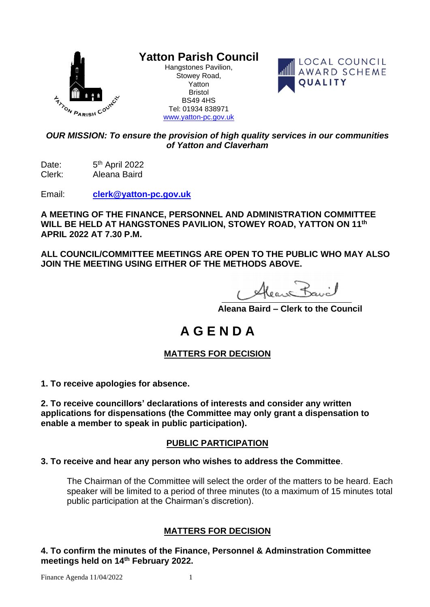

# **Yatton Parish Council**

Hangstones Pavilion, Stowey Road, Yatton Bristol BS49 4HS Tel: 01934 838971 [www.yatton-pc.gov.uk](http://www.yatton-pc.gov.uk/)



## *OUR MISSION: To ensure the provision of high quality services in our communities of Yatton and Claverham*

Date:  $5<sup>th</sup>$  April 2022 Clerk: Aleana Baird

Email: **[clerk@yatton-pc.gov.uk](mailto:clerk@yatton-pc.gov.uk)**

**A MEETING OF THE FINANCE, PERSONNEL AND ADMINISTRATION COMMITTEE WILL BE HELD AT HANGSTONES PAVILION, STOWEY ROAD, YATTON ON 11 th APRIL 2022 AT 7.30 P.M.**

**ALL COUNCIL/COMMITTEE MEETINGS ARE OPEN TO THE PUBLIC WHO MAY ALSO JOIN THE MEETING USING EITHER OF THE METHODS ABOVE.**

Alean Bavil

 **Aleana Baird – Clerk to the Council**

# **A G E N D A**

## **MATTERS FOR DECISION**

**1. To receive apologies for absence.**

**2. To receive councillors' declarations of interests and consider any written applications for dispensations (the Committee may only grant a dispensation to enable a member to speak in public participation).**

## **PUBLIC PARTICIPATION**

## **3. To receive and hear any person who wishes to address the Committee**.

The Chairman of the Committee will select the order of the matters to be heard. Each speaker will be limited to a period of three minutes (to a maximum of 15 minutes total public participation at the Chairman's discretion).

## **MATTERS FOR DECISION**

**4. To confirm the minutes of the Finance, Personnel & Adminstration Committee meetings held on 14 th February 2022.**